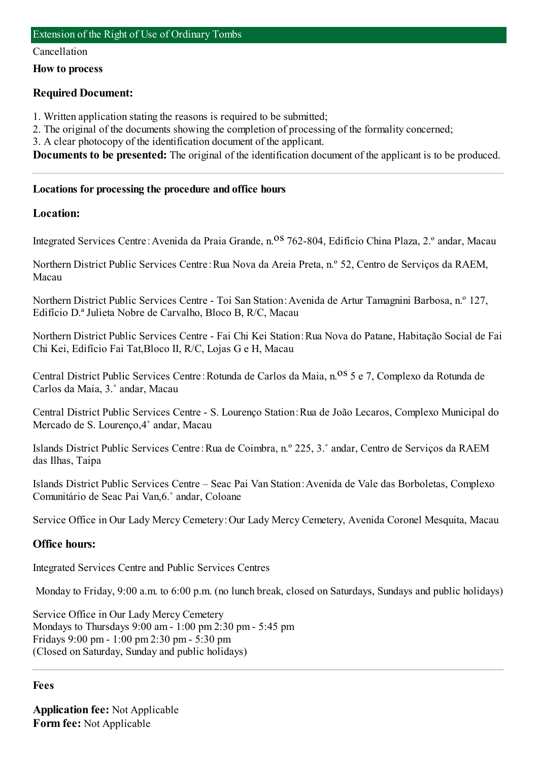#### Cancellation

**How to process**

# **Required Document:**

- 1. Written application stating the reasons is required to be submitted;
- 2. The original of the documents showing the completion of processing of the formality concerned;
- 3. A clear photocopy of the identification document of the applicant.

**Documents to be presented:** The original of the identification document of the applicant is to be produced.

## **Locations for processing the procedure and office hours**

# **Location:**

Integrated Services Centre: Avenida da Praia Grande, n.<sup>08</sup> 762-804, Edifício China Plaza, 2.º andar, Macau

Northern District Public Services Centre:Rua Nova da Areia Preta, n.º 52, Centro de Serviços da RAEM, Macau

Northern District Public Services Centre - Toi San Station:Avenida de Artur Tamagnini Barbosa, n.º 127, Edifício D.ª Julieta Nobre de Carvalho, Bloco B, R/C, Macau

Northern District Public Services Centre - Fai Chi Kei Station:Rua Nova do Patane, Habitação Social de Fai Chi Kei, Edifício Fai Tat,Bloco II, R/C, Lojas G e H, Macau

Central District Public Services Centre: Rotunda de Carlos da Maia, n.<sup>08</sup> 5 e 7, Complexo da Rotunda de Carlos da Maia, 3.˚ andar, Macau

Central District Public Services Centre - S. Lourenço Station:Rua de João Lecaros, Complexo Municipal do Mercado de S. Lourenço,4˚ andar, Macau

Islands District Public Services Centre:Rua de Coimbra, n.º 225, 3.˚ andar, Centro de Serviços da RAEM das Ilhas, Taipa

Islands District Public Services Centre – Seac Pai Van Station:Avenida de Vale das Borboletas, Complexo Comunitário de Seac Pai Van,6.˚ andar, Coloane

Service Office in Our Lady Mercy Cemetery:Our Lady Mercy Cemetery, Avenida Coronel Mesquita, Macau

# **Office hours:**

Integrated Services Centre and Public Services Centres

Monday to Friday, 9:00 a.m. to 6:00 p.m. (no lunch break, closed on Saturdays, Sundays and public holidays)

Service Office in Our Lady Mercy Cemetery Mondays to Thursdays 9:00 am- 1:00 pm2:30 pm- 5:45 pm Fridays 9:00 pm- 1:00 pm2:30 pm- 5:30 pm (Closed on Saturday, Sunday and public holidays)

### **Fees**

**Application fee:** Not Applicable **Form fee:** Not Applicable